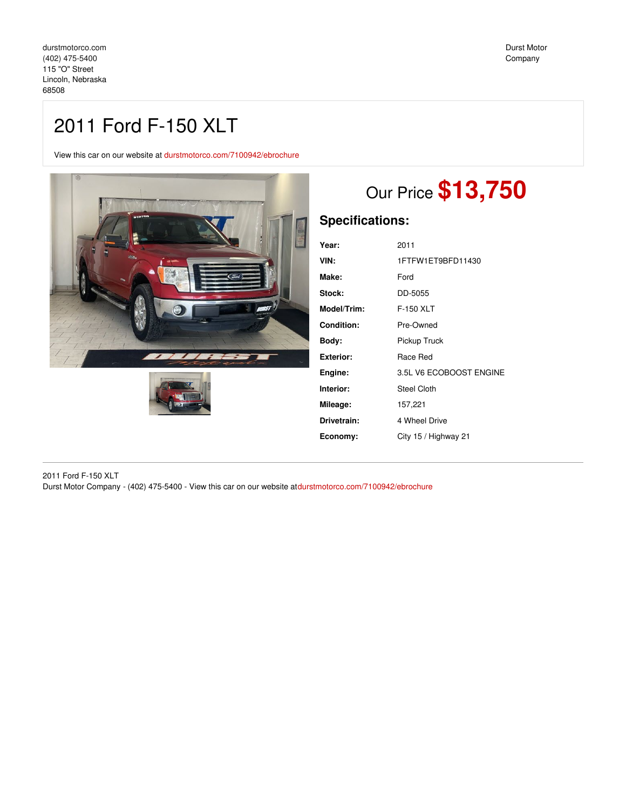## 2011 Ford F-150 XLT

View this car on our website at [durstmotorco.com/7100942/ebrochure](https://durstmotorco.com/vehicle/7100942/2011-ford-f-150-xlt-lincoln-nebraska-68508/7100942/ebrochure)





# Our Price **\$13,750**

## **Specifications:**

| Year:       | 2011                    |
|-------------|-------------------------|
| VIN:        | 1FTFW1ET9BFD11430       |
| Make:       | Ford                    |
| Stock:      | DD-5055                 |
| Model/Trim: | F-150 XLT               |
| Condition:  | Pre-Owned               |
| Body:       | Pickup Truck            |
| Exterior:   | Race Red                |
| Engine:     | 3.5L V6 ECOBOOST ENGINE |
| Interior:   | Steel Cloth             |
| Mileage:    | 157,221                 |
| Drivetrain: | 4 Wheel Drive           |
| Economy:    | City 15 / Highway 21    |
|             |                         |

2011 Ford F-150 XLT Durst Motor Company - (402) 475-5400 - View this car on our website at[durstmotorco.com/7100942/ebrochure](https://durstmotorco.com/vehicle/7100942/2011-ford-f-150-xlt-lincoln-nebraska-68508/7100942/ebrochure)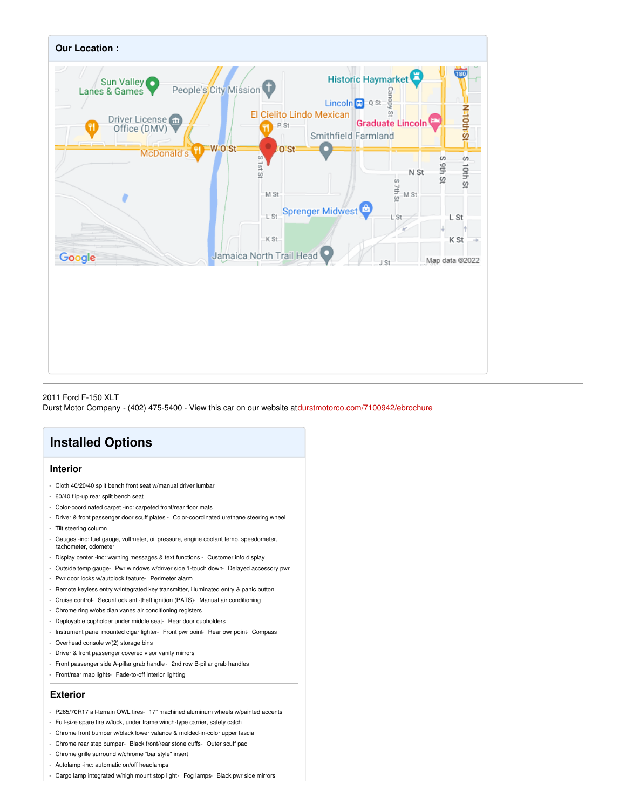

#### 2011 Ford F-150 XLT

Durst Motor Company - (402) 475-5400 - View this car on our website at[durstmotorco.com/7100942/ebrochure](https://durstmotorco.com/vehicle/7100942/2011-ford-f-150-xlt-lincoln-nebraska-68508/7100942/ebrochure)

### **Installed Options**

#### **Interior**

- Cloth 40/20/40 split bench front seat w/manual driver lumbar
- 60/40 flip-up rear split bench seat
- Color-coordinated carpet -inc: carpeted front/rear floor mats
- Driver & front passenger door scuff plates Color-coordinated urethane steering wheel
- Tilt steering column
- Gauges -inc: fuel gauge, voltmeter, oil pressure, engine coolant temp, speedometer, tachometer, odometer
- Display center -inc: warning messages & text functions Customer info display
- Outside temp gauge- Pwr windows w/driver side 1-touch down- Delayed accessory pwr
- Pwr door locks w/autolock feature- Perimeter alarm
- Remote keyless entry w/integrated key transmitter, illuminated entry & panic button
- Cruise control- SecuriLock anti-theft ignition (PATS)- Manual air conditioning
- Chrome ring w/obsidian vanes air conditioning registers
- Deployable cupholder under middle seat- Rear door cupholders
- Instrument panel mounted cigar lighter- Front pwr point- Rear pwr point- Compass
- Overhead console w/(2) storage bins
- Driver & front passenger covered visor vanity mirrors
- Front passenger side A-pillar grab handle- 2nd row B-pillar grab handles
- Front/rear map lights- Fade-to-off interior lighting

#### **Exterior**

- P265/70R17 all-terrain OWL tires- 17" machined aluminum wheels w/painted accents
- Full-size spare tire w/lock, under frame winch-type carrier, safety catch
- Chrome front bumper w/black lower valance & molded-in-color upper fascia
- Chrome rear step bumper- Black front/rear stone cuffs- Outer scuff pad
- Chrome grille surround w/chrome "bar style" insert
- Autolamp -inc: automatic on/off headlamps
- Cargo lamp integrated w/high mount stop light- Fog lamps- Black pwr side mirrors